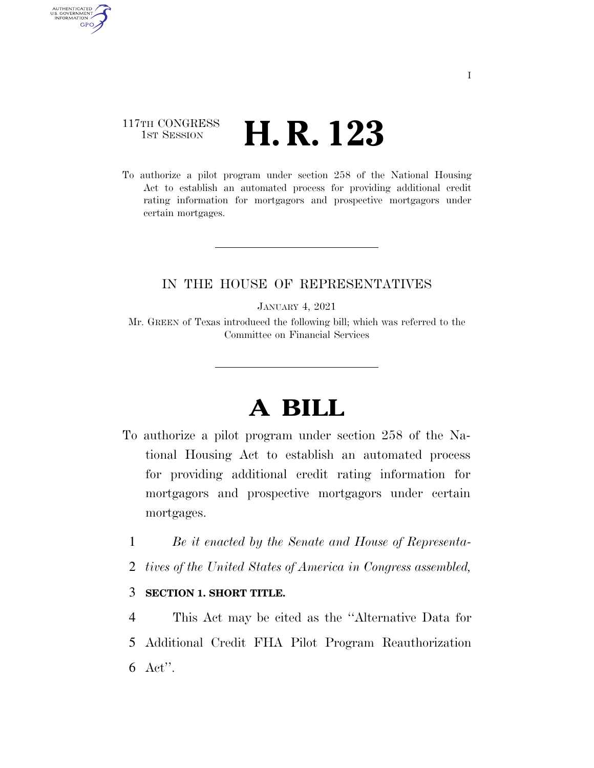## 117TH CONGRESS <sup>TH CONGRESS</sup> **H. R. 123**

AUTHENTICATED<br>U.S. GOVERNMENT<br>INFORMATION **GPO** 

> To authorize a pilot program under section 258 of the National Housing Act to establish an automated process for providing additional credit rating information for mortgagors and prospective mortgagors under certain mortgages.

## IN THE HOUSE OF REPRESENTATIVES

JANUARY 4, 2021

Mr. GREEN of Texas introduced the following bill; which was referred to the Committee on Financial Services

## **A BILL**

- To authorize a pilot program under section 258 of the National Housing Act to establish an automated process for providing additional credit rating information for mortgagors and prospective mortgagors under certain mortgages.
	- 1 *Be it enacted by the Senate and House of Representa-*
	- 2 *tives of the United States of America in Congress assembled,*

## 3 **SECTION 1. SHORT TITLE.**

4 This Act may be cited as the ''Alternative Data for 5 Additional Credit FHA Pilot Program Reauthorization 6 Act''.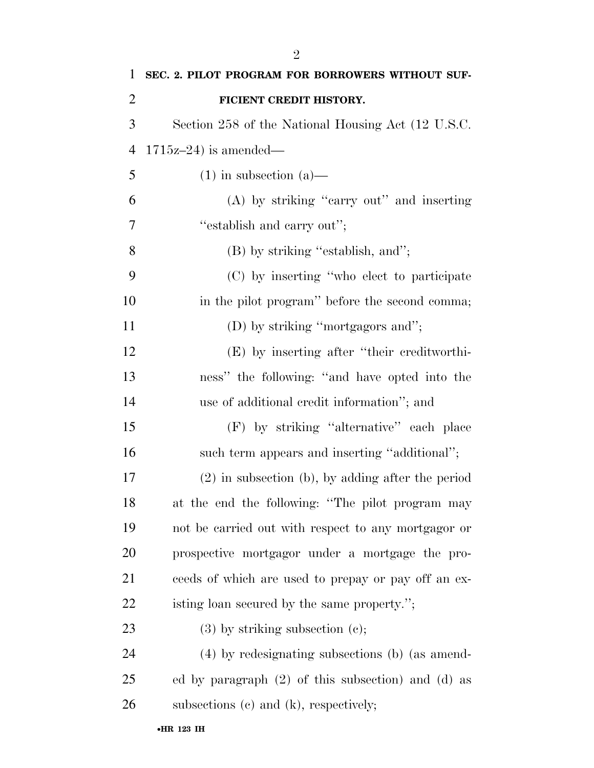| 1              | SEC. 2. PILOT PROGRAM FOR BORROWERS WITHOUT SUF-       |
|----------------|--------------------------------------------------------|
| $\overline{2}$ | FICIENT CREDIT HISTORY.                                |
| 3              | Section 258 of the National Housing Act (12 U.S.C.     |
| $\overline{4}$ | $1715z-24$ ) is amended—                               |
| 5              | $(1)$ in subsection $(a)$ —                            |
| 6              | (A) by striking "carry out" and inserting              |
| 7              | "establish and carry out";                             |
| 8              | (B) by striking "establish, and";                      |
| 9              | (C) by inserting "who elect to participate             |
| 10             | in the pilot program" before the second comma;         |
| 11             | (D) by striking "mortgagors and";                      |
| 12             | (E) by inserting after "their creditworthi-            |
| 13             | ness" the following: "and have opted into the          |
| 14             | use of additional credit information"; and             |
| 15             | (F) by striking "alternative" each place               |
| 16             | such term appears and inserting "additional";          |
| 17             | $(2)$ in subsection (b), by adding after the period    |
| 18             | at the end the following: "The pilot program may       |
| 19             | not be carried out with respect to any mortgagor or    |
| 20             | prospective mortgagor under a mortgage the pro-        |
| 21             | ceeds of which are used to prepay or pay off an ex-    |
| 22             | isting loan secured by the same property.";            |
| 23             | $(3)$ by striking subsection $(e)$ ;                   |
| 24             | (4) by redesignating subsections (b) (as amend-        |
| 25             | ed by paragraph $(2)$ of this subsection) and $(d)$ as |
| 26             | subsections (c) and (k), respectively;                 |
|                | •HR 123 IH                                             |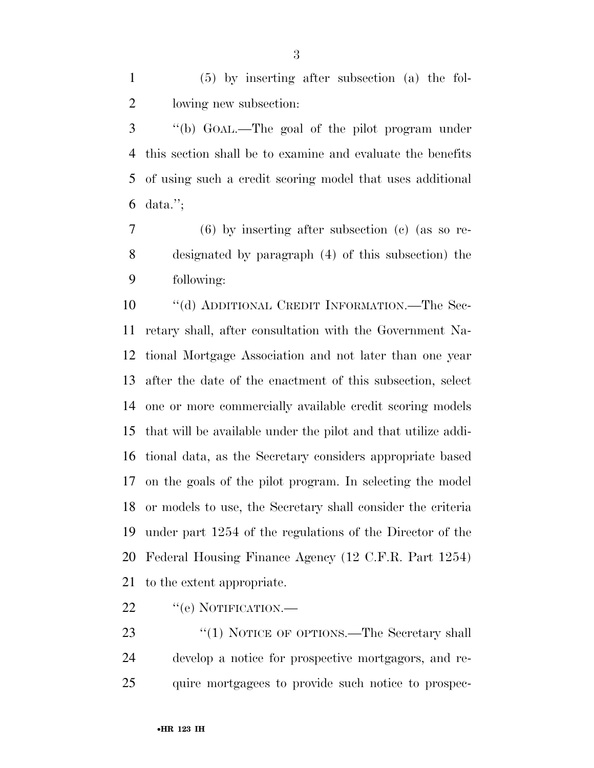(5) by inserting after subsection (a) the fol-lowing new subsection:

 ''(b) GOAL.—The goal of the pilot program under this section shall be to examine and evaluate the benefits of using such a credit scoring model that uses additional data.'';

 (6) by inserting after subsection (c) (as so re- designated by paragraph (4) of this subsection) the following:

 ''(d) ADDITIONAL CREDIT INFORMATION.—The Sec- retary shall, after consultation with the Government Na- tional Mortgage Association and not later than one year after the date of the enactment of this subsection, select one or more commercially available credit scoring models that will be available under the pilot and that utilize addi- tional data, as the Secretary considers appropriate based on the goals of the pilot program. In selecting the model or models to use, the Secretary shall consider the criteria under part 1254 of the regulations of the Director of the Federal Housing Finance Agency (12 C.F.R. Part 1254) to the extent appropriate.

22 "(e) NOTIFICATION.—

23 "(1) NOTICE OF OPTIONS.—The Secretary shall develop a notice for prospective mortgagors, and re-quire mortgagees to provide such notice to prospec-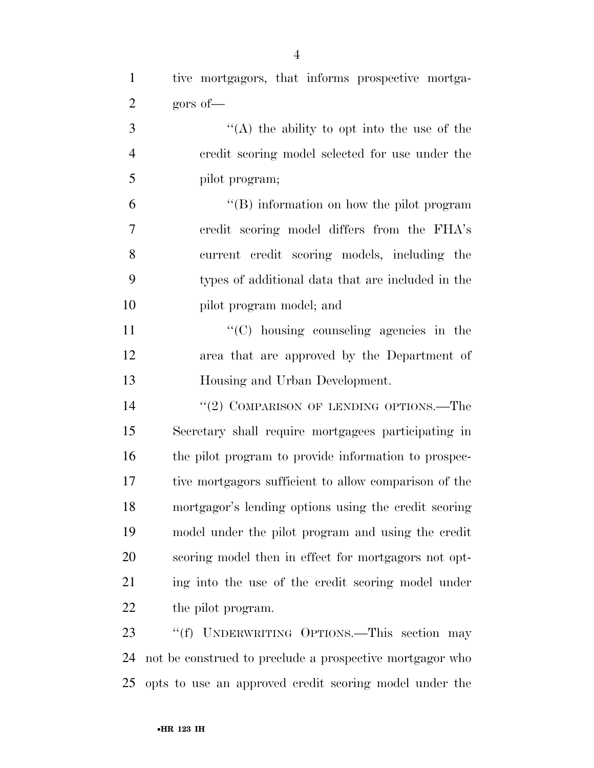''(A) the ability to opt into the use of the credit scoring model selected for use under the pilot program; ''(B) information on how the pilot program credit scoring model differs from the FHA's current credit scoring models, including the types of additional data that are included in the pilot program model; and  $\lq\lq$  (C) housing counseling agencies in the

 area that are approved by the Department of Housing and Urban Development.

14 "(2) COMPARISON OF LENDING OPTIONS.—The Secretary shall require mortgagees participating in the pilot program to provide information to prospec- tive mortgagors sufficient to allow comparison of the mortgagor's lending options using the credit scoring model under the pilot program and using the credit scoring model then in effect for mortgagors not opt-21 ing into the use of the credit scoring model under 22 the pilot program.

23 "(f) UNDERWRITING OPTIONS.—This section may not be construed to preclude a prospective mortgagor who opts to use an approved credit scoring model under the

gors of—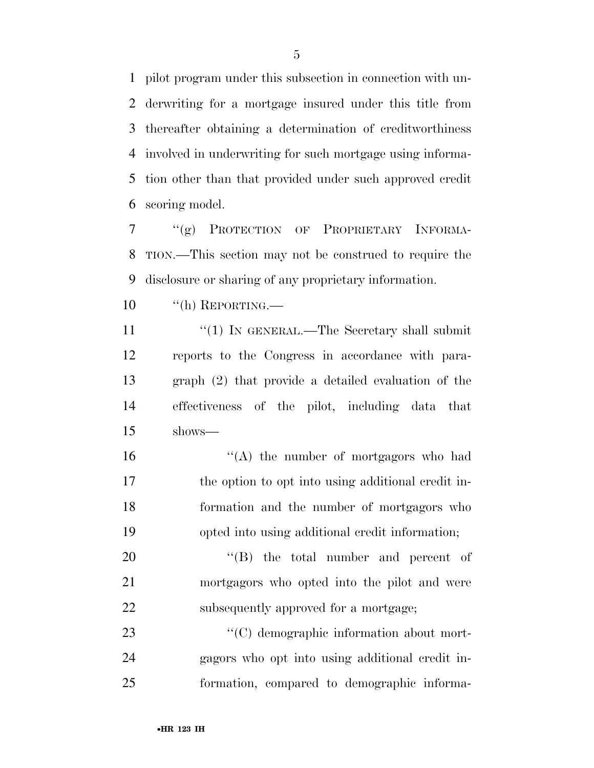pilot program under this subsection in connection with un- derwriting for a mortgage insured under this title from thereafter obtaining a determination of creditworthiness involved in underwriting for such mortgage using informa- tion other than that provided under such approved credit scoring model.

 ''(g) PROTECTION OF PROPRIETARY INFORMA- TION.—This section may not be construed to require the disclosure or sharing of any proprietary information.

''(h) REPORTING.—

11 ''(1) IN GENERAL.—The Secretary shall submit reports to the Congress in accordance with para- graph (2) that provide a detailed evaluation of the effectiveness of the pilot, including data that shows—

 ''(A) the number of mortgagors who had the option to opt into using additional credit in- formation and the number of mortgagors who opted into using additional credit information;

20  $\text{``(B)}$  the total number and percent of mortgagors who opted into the pilot and were 22 subsequently approved for a mortgage;

23  $\cdot$  (C) demographic information about mort- gagors who opt into using additional credit in-formation, compared to demographic informa-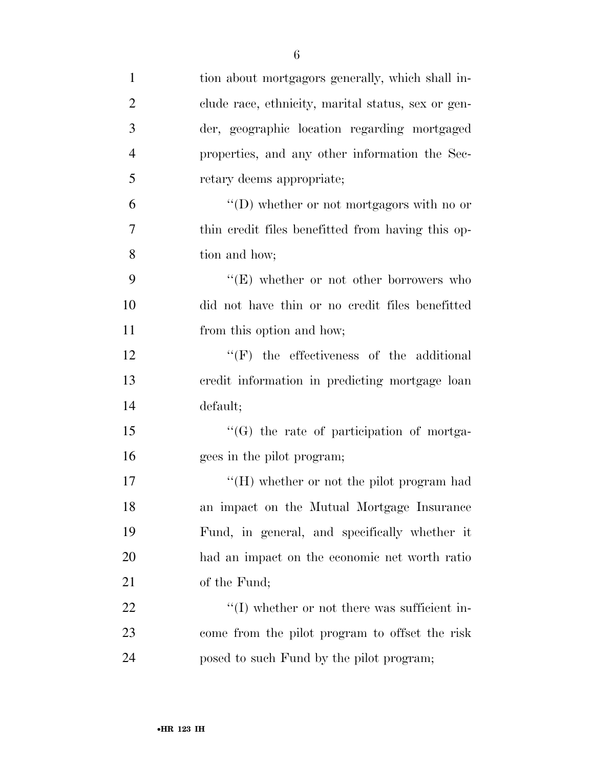| $\mathbf{1}$   | tion about mortgagors generally, which shall in-   |
|----------------|----------------------------------------------------|
| $\overline{2}$ | clude race, ethnicity, marital status, sex or gen- |
| 3              | der, geographic location regarding mortgaged       |
| $\overline{4}$ | properties, and any other information the Sec-     |
| 5              | retary deems appropriate;                          |
| 6              | "(D) whether or not mortgagors with no or          |
| 7              | thin credit files benefitted from having this op-  |
| 8              | tion and how;                                      |
| 9              | "(E) whether or not other borrowers who            |
| 10             | did not have thin or no credit files benefitted    |
| 11             | from this option and how;                          |
| 12             | $\lq\lq(F)$ the effectiveness of the additional    |
| 13             | credit information in predicting mortgage loan     |
| 14             | default;                                           |
| 15             | "(G) the rate of participation of mortga-          |
| 16             | gees in the pilot program;                         |
| 17             | "(H) whether or not the pilot program had          |
| 18             | an impact on the Mutual Mortgage Insurance         |
| 19             | Fund, in general, and specifically whether it      |
| 20             | had an impact on the economic net worth ratio      |
| 21             | of the Fund;                                       |
| 22             | $\lq\lq$ whether or not there was sufficient in-   |
| 23             | come from the pilot program to offset the risk     |
| 24             | posed to such Fund by the pilot program;           |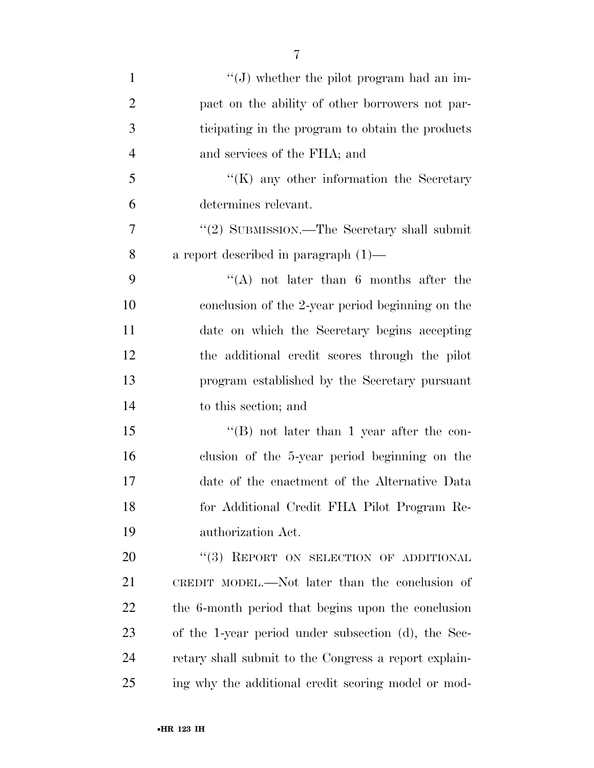| $\mathbf{1}$   | "(J) whether the pilot program had an im-             |
|----------------|-------------------------------------------------------|
| $\overline{2}$ | pact on the ability of other borrowers not par-       |
| 3              | ticipating in the program to obtain the products      |
| $\overline{4}$ | and services of the FHA; and                          |
| 5              | $\lq\lq$ (K) any other information the Secretary      |
| 6              | determines relevant.                                  |
| 7              | "(2) SUBMISSION.—The Secretary shall submit           |
| 8              | a report described in paragraph $(1)$ —               |
| 9              | "(A) not later than $6$ months after the              |
| 10             | conclusion of the 2-year period beginning on the      |
| 11             | date on which the Secretary begins accepting          |
| 12             | the additional credit scores through the pilot        |
| 13             | program established by the Secretary pursuant         |
| 14             | to this section; and                                  |
| 15             | "(B) not later than 1 year after the con-             |
| 16             | clusion of the 5-year period beginning on the         |
| 17             | date of the enactment of the Alternative Data         |
| 18             | for Additional Credit FHA Pilot Program Re-           |
| 19             | authorization Act.                                    |
| 20             | "(3) REPORT ON SELECTION OF ADDITIONAL                |
| 21             | CREDIT MODEL.—Not later than the conclusion of        |
| 22             | the 6-month period that begins upon the conclusion    |
| 23             | of the 1-year period under subsection (d), the Sec-   |
| 24             | retary shall submit to the Congress a report explain- |
| 25             | ing why the additional credit scoring model or mod-   |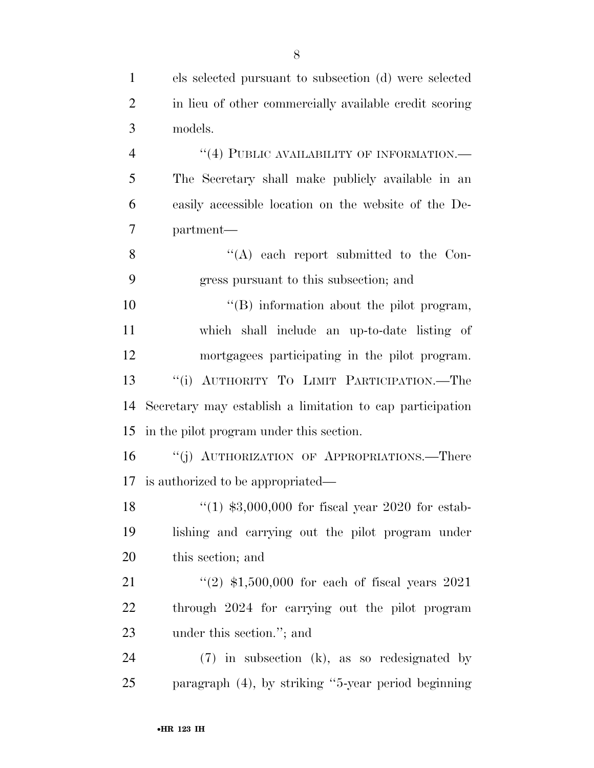| $\mathbf{1}$   | els selected pursuant to subsection (d) were selected     |
|----------------|-----------------------------------------------------------|
| $\overline{2}$ | in lieu of other commercially available credit scoring    |
| 3              | models.                                                   |
| $\overline{4}$ | "(4) PUBLIC AVAILABILITY OF INFORMATION.—                 |
| 5              | The Secretary shall make publicly available in an         |
| 6              | easily accessible location on the website of the De-      |
| 7              | partment—                                                 |
| 8              | "(A) each report submitted to the Con-                    |
| 9              | gress pursuant to this subsection; and                    |
| 10             | $\lq\lq$ . information about the pilot program,           |
| 11             | which shall include an up-to-date listing of              |
| 12             | mortgagees participating in the pilot program.            |
| 13             | AUTHORITY TO LIMIT PARTICIPATION.-The<br>``(i)            |
| 14             | Secretary may establish a limitation to cap participation |
| 15             | in the pilot program under this section.                  |
| 16             | "(j) AUTHORIZATION OF APPROPRIATIONS.—There               |
|                | 17 is authorized to be appropriated—                      |
| 18             | "(1) $$3,000,000$ for fiscal year 2020 for estab-         |
| 19             | lishing and carrying out the pilot program under          |
| 20             | this section; and                                         |
| 21             | $(2)$ \$1,500,000 for each of fiscal years 2021           |
| 22             | through 2024 for carrying out the pilot program           |
| 23             | under this section."; and                                 |
| 24             | $(7)$ in subsection (k), as so redesignated by            |
| 25             | paragraph (4), by striking "5-year period beginning       |